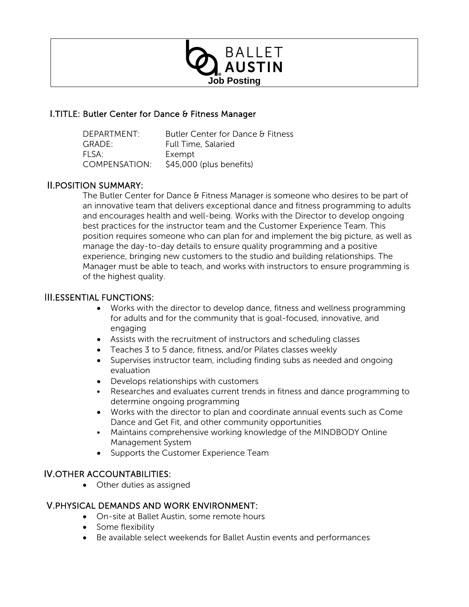

# I.TITLE: Butler Center for Dance & Fitness Manager

| DEPARTMENT:          | Butler Center for Dance & Fitness |
|----------------------|-----------------------------------|
| GRADE:               | Full Time, Salaried               |
| FI SA:               | Exempt                            |
| <b>COMPENSATION:</b> | \$45,000 (plus benefits)          |

# II.POSITION SUMMARY:

The Butler Center for Dance & Fitness Manager is someone who desires to be part of an innovative team that delivers exceptional dance and fitness programming to adults and encourages health and well-being. Works with the Director to develop ongoing best practices for the instructor team and the Customer Experience Team. This position requires someone who can plan for and implement the big picture, as well as manage the day-to-day details to ensure quality programming and a positive experience, bringing new customers to the studio and building relationships. The Manager must be able to teach, and works with instructors to ensure programming is of the highest quality.

## III.ESSENTIAL FUNCTIONS:

- Works with the director to develop dance, fitness and wellness programming for adults and for the community that is goal-focused, innovative, and engaging
- Assists with the recruitment of instructors and scheduling classes
- Teaches 3 to 5 dance, fitness, and/or Pilates classes weekly
- Supervises instructor team, including finding subs as needed and ongoing evaluation
- Develops relationships with customers
- Researches and evaluates current trends in fitness and dance programming to determine ongoing programming
- Works with the director to plan and coordinate annual events such as Come Dance and Get Fit, and other community opportunities
- Maintains comprehensive working knowledge of the MINDBODY Online Management System
- Supports the Customer Experience Team

### IV.OTHER ACCOUNTABILITIES:

• Other duties as assigned

### V.PHYSICAL DEMANDS AND WORK ENVIRONMENT:

- On-site at Ballet Austin, some remote hours
- Some flexibility
- Be available select weekends for Ballet Austin events and performances